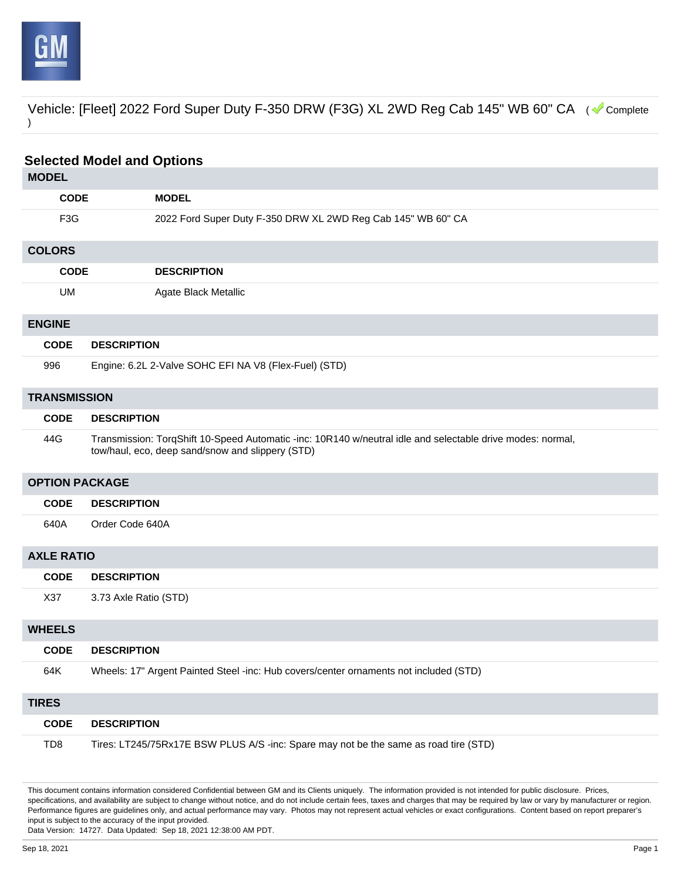

Vehicle: [Fleet] 2022 Ford Super Duty F-350 DRW (F3G) XL 2WD Reg Cab 145" WB 60" CA ( Complete )

| <b>Selected Model and Options</b> |                                                                                                                                                                |  |
|-----------------------------------|----------------------------------------------------------------------------------------------------------------------------------------------------------------|--|
| <b>MODEL</b>                      |                                                                                                                                                                |  |
| <b>CODE</b>                       | <b>MODEL</b>                                                                                                                                                   |  |
| F <sub>3</sub> G                  | 2022 Ford Super Duty F-350 DRW XL 2WD Reg Cab 145" WB 60" CA                                                                                                   |  |
| <b>COLORS</b>                     |                                                                                                                                                                |  |
| <b>CODE</b>                       | <b>DESCRIPTION</b>                                                                                                                                             |  |
| UM                                | Agate Black Metallic                                                                                                                                           |  |
| <b>ENGINE</b>                     |                                                                                                                                                                |  |
| <b>CODE</b>                       | <b>DESCRIPTION</b>                                                                                                                                             |  |
| 996                               | Engine: 6.2L 2-Valve SOHC EFI NA V8 (Flex-Fuel) (STD)                                                                                                          |  |
| <b>TRANSMISSION</b>               |                                                                                                                                                                |  |
| <b>CODE</b>                       | <b>DESCRIPTION</b>                                                                                                                                             |  |
| 44G                               | Transmission: TorqShift 10-Speed Automatic -inc: 10R140 w/neutral idle and selectable drive modes: normal,<br>tow/haul, eco, deep sand/snow and slippery (STD) |  |
| <b>OPTION PACKAGE</b>             |                                                                                                                                                                |  |
| <b>CODE</b>                       | <b>DESCRIPTION</b>                                                                                                                                             |  |
| 640A                              | Order Code 640A                                                                                                                                                |  |
| <b>AXLE RATIO</b>                 |                                                                                                                                                                |  |
| <b>CODE</b>                       | <b>DESCRIPTION</b>                                                                                                                                             |  |
| X37                               | 3.73 Axle Ratio (STD)                                                                                                                                          |  |
| <b>WHEELS</b>                     |                                                                                                                                                                |  |
| <b>CODE</b>                       | <b>DESCRIPTION</b>                                                                                                                                             |  |
| 64K                               | Wheels: 17" Argent Painted Steel -inc: Hub covers/center ornaments not included (STD)                                                                          |  |
| <b>TIRES</b>                      |                                                                                                                                                                |  |
| <b>CODE</b>                       | <b>DESCRIPTION</b>                                                                                                                                             |  |
| TD <sub>8</sub>                   | Tires: LT245/75Rx17E BSW PLUS A/S -inc: Spare may not be the same as road tire (STD)                                                                           |  |

This document contains information considered Confidential between GM and its Clients uniquely. The information provided is not intended for public disclosure. Prices, specifications, and availability are subject to change without notice, and do not include certain fees, taxes and charges that may be required by law or vary by manufacturer or region. Performance figures are guidelines only, and actual performance may vary. Photos may not represent actual vehicles or exact configurations. Content based on report preparer's input is subject to the accuracy of the input provided.

Data Version: 14727. Data Updated: Sep 18, 2021 12:38:00 AM PDT.